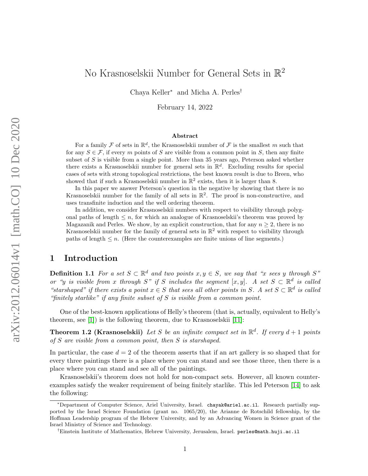# No Krasnoselskii Number for General Sets in  $\mathbb{R}^2$

Chaya Keller<sup>∗</sup> and Micha A. Perles†

February 14, 2022

#### Abstract

For a family  $\mathcal F$  of sets in  $\mathbb R^d$ , the Krasnoselskii number of  $\mathcal F$  is the smallest m such that for any  $S \in \mathcal{F}$ , if every m points of S are visible from a common point in S, then any finite subset of  $S$  is visible from a single point. More than 35 years ago, Peterson asked whether there exists a Krasnoselskii number for general sets in  $\mathbb{R}^d$ . Excluding results for special cases of sets with strong topological restrictions, the best known result is due to Breen, who showed that if such a Krasnoselskii number in  $\mathbb{R}^2$  exists, then it is larger than 8.

In this paper we answer Peterson's question in the negative by showing that there is no Krasnoselskii number for the family of all sets in  $\mathbb{R}^2$ . The proof is non-constructive, and uses transfinite induction and the well ordering theorem.

In addition, we consider Krasnoselskii numbers with respect to visibility through polygonal paths of length  $\leq n$ , for which an analogue of Krasnoselskii's theorem was proved by Magazanik and Perles. We show, by an explicit construction, that for any  $n \geq 2$ , there is no Krasnoselskii number for the family of general sets in  $\mathbb{R}^2$  with respect to visibility through paths of length  $\leq n$ . (Here the counterexamples are finite unions of line segments.)

## 1 Introduction

**Definition 1.1** For a set  $S \subset \mathbb{R}^d$  and two points  $x, y \in S$ , we say that "x sees y through S" or "y is visible from x through S" if S includes the segment  $[x, y]$ . A set  $S \subset \mathbb{R}^d$  is called "starshaped" if there exists a point  $x \in S$  that sees all other points in S. A set  $S \subset \mathbb{R}^d$  is called "finitely starlike" if any finite subset of S is visible from a common point.

One of the best-known applications of Helly's theorem (that is, actually, equivalent to Helly's theorem, see [\[1\]](#page-9-0)) is the following theorem, due to Krasnoselskii [\[11\]](#page-10-0):

**Theorem 1.2 (Krasnoselskii)** Let S be an infinite compact set in  $\mathbb{R}^d$ . If every  $d+1$  points of S are visible from a common point, then S is starshaped.

In particular, the case  $d = 2$  of the theorem asserts that if an art gallery is so shaped that for every three paintings there is a place where you can stand and see those three, then there is a place where you can stand and see all of the paintings.

Krasnoselskii's theorem does not hold for non-compact sets. However, all known counterexamples satisfy the weaker requirement of being finitely starlike. This led Peterson [\[14\]](#page-10-1) to ask the following:

<sup>∗</sup>Department of Computer Science, Ariel University, Israel. chayak@ariel.ac.il. Research partially supported by the Israel Science Foundation (grant no. 1065/20), the Arianne de Rotschild fellowship, by the Hoffman Leadership program of the Hebrew University, and by an Advancing Women in Science grant of the Israel Ministry of Science and Technology.

<sup>†</sup>Einstein Institute of Mathematics, Hebrew University, Jerusalem, Israel. perles@math.huji.ac.il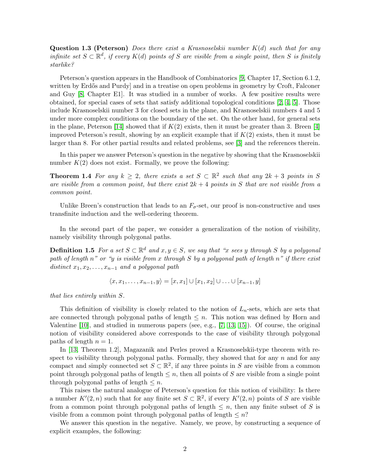**Question 1.3 (Peterson)** Does there exist a Krasnoselskii number  $K(d)$  such that for any infinite set  $S \subset \mathbb{R}^d$ , if every  $K(d)$  points of S are visible from a single point, then S is finitely starlike?

Peterson's question appears in the Handbook of Combinatorics [\[9,](#page-10-2) Chapter 17, Section 6.1.2, written by Erdős and Purdy and in a treatise on open problems in geometry by Croft, Falconer and Guy [\[8,](#page-10-3) Chapter E1]. It was studied in a number of works. A few positive results were obtained, for special cases of sets that satisfy additional topological conditions [\[2,](#page-9-1) [4,](#page-10-4) [5\]](#page-10-5). Those include Krasnoselskii number 3 for closed sets in the plane, and Krasnoselskii numbers 4 and 5 under more complex conditions on the boundary of the set. On the other hand, for general sets in the plane, Peterson [\[14\]](#page-10-1) showed that if  $K(2)$  exists, then it must be greater than 3. Breen [\[4\]](#page-10-4) improved Peterson's result, showing by an explicit example that if  $K(2)$  exists, then it must be larger than 8. For other partial results and related problems, see [\[3\]](#page-9-2) and the references therein.

In this paper we answer Peterson's question in the negative by showing that the Krasnoselskii number  $K(2)$  does not exist. Formally, we prove the following:

**Theorem 1.4** For any  $k \geq 2$ , there exists a set  $S \subset \mathbb{R}^2$  such that any  $2k + 3$  points in S are visible from a common point, but there exist  $2k + 4$  points in S that are not visible from a common point.

Unlike Breen's construction that leads to an  $F_{\sigma}$ -set, our proof is non-constructive and uses transfinite induction and the well-ordering theorem.

In the second part of the paper, we consider a generalization of the notion of visibility, namely visibility through polygonal paths.

**Definition 1.5** For a set  $S \subset \mathbb{R}^d$  and  $x, y \in S$ , we say that "x sees y through S by a polygonal path of length n" or "y is visible from x through S by a polygonal path of length n" if there exist distinct  $x_1, x_2, \ldots, x_{n-1}$  and a polygonal path

<span id="page-1-1"></span> $\langle x, x_1, \ldots, x_{n-1}, y \rangle = [x, x_1] \cup [x_1, x_2] \cup \ldots \cup [x_{n-1}, y]$ 

that lies entirely within S.

This definition of visibility is closely related to the notion of  $L_n$ -sets, which are sets that are connected through polygonal paths of length  $\leq n$ . This notion was defined by Horn and Valentine  $[10]$ , and studied in numerous papers (see, e.g.,  $[7, 13, 15]$  $[7, 13, 15]$  $[7, 13, 15]$ ). Of course, the original notion of visibility considered above corresponds to the case of visibility through polygonal paths of length  $n = 1$ .

In [\[13,](#page-10-8) Theorem 1.2], Magazanik and Perles proved a Krasnoselskii-type theorem with respect to visibility through polygonal paths. Formally, they showed that for any  $n$  and for any compact and simply connected set  $S \subset \mathbb{R}^2$ , if any three points in S are visible from a common point through polygonal paths of length  $\leq n$ , then all points of S are visible from a single point through polygonal paths of length  $\leq n$ .

This raises the natural analogue of Peterson's question for this notion of visibility: Is there a number  $K'(2, n)$  such that for any finite set  $S \subset \mathbb{R}^2$ , if every  $K'(2, n)$  points of S are visible from a common point through polygonal paths of length  $\leq n$ , then any finite subset of S is visible from a common point through polygonal paths of length  $\leq n$ ?

<span id="page-1-0"></span>We answer this question in the negative. Namely, we prove, by constructing a sequence of explicit examples, the following: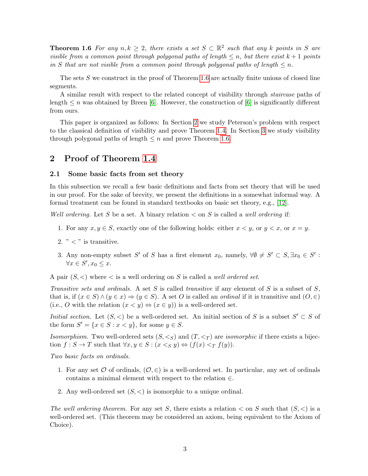**Theorem 1.6** For any  $n, k \geq 2$ , there exists a set  $S \subset \mathbb{R}^2$  such that any k points in S are visible from a common point through polygonal paths of length  $\leq n$ , but there exist  $k+1$  points in S that are not visible from a common point through polygonal paths of length  $\leq n$ .

The sets S we construct in the proof of Theorem [1.6](#page-1-0) are actually finite unions of closed line segments.

A similar result with respect to the related concept of visibility through staircase paths of length  $\leq n$  was obtained by Breen [\[6\]](#page-10-10). However, the construction of [6] is significantly different from ours.

This paper is organized as follows: In Section [2](#page-2-0) we study Peterson's problem with respect to the classical definition of visibility and prove Theorem [1.4.](#page-1-1) In Section [3](#page-7-0) we study visibility through polygonal paths of length  $\leq n$  and prove Theorem [1.6.](#page-1-0)

## <span id="page-2-0"></span>2 Proof of Theorem [1.4](#page-1-1)

#### 2.1 Some basic facts from set theory

In this subsection we recall a few basic definitions and facts from set theory that will be used in our proof. For the sake of brevity, we present the definitions in a somewhat informal way. A formal treatment can be found in standard textbooks on basic set theory, e.g., [\[12\]](#page-10-11).

Well ordering. Let S be a set. A binary relation  $\lt$  on S is called a well ordering if:

- 1. For any  $x, y \in S$ , exactly one of the following holds: either  $x \leq y$ , or  $y \leq x$ , or  $x = y$ .
- 2.  $" < "$  is transitive.
- 3. Any non-empty subset S' of S has a first element  $x_0$ , namely,  $\forall \emptyset \neq S' \subset S, \exists x_0 \in S'$ :  $\forall x \in S', x_0 \leq x.$

A pair  $(S, \leq)$  where  $\leq$  is a well ordering on S is called a *well ordered set*.

Transitive sets and ordinals. A set S is called transitive if any element of S is a subset of S, that is, if  $(x \in S) \land (y \in x) \Rightarrow (y \in S)$ . A set O is called an *ordinal* if it is transitive and  $(0, \in)$ (i.e., O with the relation  $(x < y) \Leftrightarrow (x \in y)$ ) is a well-ordered set.

*Initial section.* Let  $(S, \leq)$  be a well-ordered set. An initial section of S is a subset  $S' \subset S$  of the form  $S' = \{x \in S : x < y\}$ , for some  $y \in S$ .

Isomorphism. Two well-ordered sets  $(S, \leq_S)$  and  $(T, \leq_T)$  are *isomorphic* if there exists a bijection  $f : S \to T$  such that  $\forall x, y \in S : (x \leq_S y) \Leftrightarrow (f(x) \leq_T f(y)).$ 

Two basic facts on ordinals.

- 1. For any set  $\mathcal O$  of ordinals,  $(\mathcal O, \in)$  is a well-ordered set. In particular, any set of ordinals contains a minimal element with respect to the relation ∈.
- 2. Any well-ordered set  $(S, \leq)$  is isomorphic to a unique ordinal.

The well ordering theorem. For any set S, there exists a relation  $\lt$  on S such that  $(S, \lt)$  is a well-ordered set. (This theorem may be considered an axiom, being equivalent to the Axiom of Choice).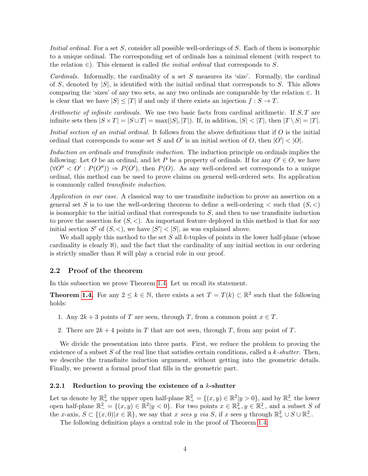Initial ordinal. For a set S, consider all possible well-orderings of S. Each of them is isomorphic to a unique ordinal. The corresponding set of ordinals has a minimal element (with respect to the relation  $\in$ ). This element is called the *initial ordinal* that corresponds to S.

Cardinals. Informally, the cardinality of a set  $S$  measures its 'size'. Formally, the cardinal of S, denoted by  $|S|$ , is identified with the initial ordinal that corresponds to S. This allows comparing the 'sizes' of any two sets, as any two ordinals are comparable by the relation ∈. It is clear that we have  $|S| \leq |T|$  if and only if there exists an injection  $f : S \to T$ .

Arithmetic of infinite cardinals. We use two basic facts from cardinal arithmetic. If  $S$ ,  $T$  are infinite sets then  $|S \times T| = |S \cup T| = \max(|S|, |T|)$ . If, in addition,  $|S| < |T|$ , then  $|T \setminus S| = |T|$ .

Initial section of an initial ordinal. It follows from the above definitions that if O is the initial ordinal that corresponds to some set S and O' is an initial section of O, then  $|O'| < |O|$ .

Induction on ordinals and transfinite induction. The induction principle on ordinals implies the following: Let O be an ordinal, and let P be a property of ordinals. If for any  $O' \in O$ , we have  $(\forall O'' < O' : P(O'')) \Rightarrow P(O')$ , then  $P(O)$ . As any well-ordered set corresponds to a unique ordinal, this method can be used to prove claims on general well-ordered sets. Its application is commonly called transfinite induction.

Application in our case. A classical way to use transfinite induction to prove an assertion on a general set S is to use the well-ordering theorem to define a well-ordering  $\lt$  such that  $(S, \lt)$ is isomorphic to the initial ordinal that corresponds to  $S$ , and then to use transfinite induction to prove the assertion for  $(S, \leq)$ . An important feature deployed in this method is that for any initial section S' of  $(S, <)$ , we have  $|S'| < |S|$ , as was explained above.

We shall apply this method to the set  $S$  all  $k$ -tuples of points in the lower half-plane (whose cardinality is clearly  $\aleph$ ), and the fact that the cardinality of any initial section in our ordering is strictly smaller than  $\aleph$  will play a crucial role in our proof.

### 2.2 Proof of the theorem

In this subsection we prove Theorem [1.4.](#page-1-1) Let us recall its statement.

**Theorem [1.4.](#page-1-1)** For any  $2 \leq k \in \mathbb{N}$ , there exists a set  $T = T(k) \subset \mathbb{R}^2$  such that the following holds:

- 1. Any  $2k+3$  points of T are seen, through T, from a common point  $x \in T$ .
- 2. There are  $2k + 4$  points in T that are not seen, through T, from any point of T.

We divide the presentation into three parts. First, we reduce the problem to proving the existence of a subset S of the real line that satisfies certain conditions, called a  $k$ -shutter. Then, we describe the transfinite induction argument, without getting into the geometric details. Finally, we present a formal proof that fills in the geometric part.

#### 2.2.1 Reduction to proving the existence of a  $k$ -shutter

Let us denote by  $\mathbb{R}^2_+$  the upper open half-plane  $\mathbb{R}^2_+ = \{(x, y) \in \mathbb{R}^2 | y > 0\}$ , and by  $\mathbb{R}^2_-$  the lower open half-plane  $\mathbb{R}^2 = \{(x, y) \in \mathbb{R}^2 | y < 0\}$ . For two points  $x \in \mathbb{R}^2_+$ ,  $y \in \mathbb{R}^2_-$ , and a subset S of the x-axis,  $S \subset \{(x,0)|x \in \mathbb{R}\}$ , we say that x sees y via S, if x sees y through  $\mathbb{R}^2_+ \cup S \cup \mathbb{R}^2_-$ .

The following definition plays a central role in the proof of Theorem [1.4.](#page-1-1)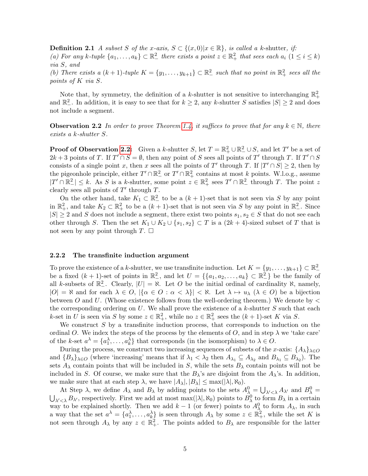**Definition 2.1** A subset S of the x-axis,  $S \subset \{(x,0)|x \in \mathbb{R}\}\$ , is called a k-shutter, if: (a) For any k-tuple  $\{a_1, \ldots, a_k\} \subset \mathbb{R}^2_+$  there exists a point  $z \in \mathbb{R}^2_+$  that sees each  $a_i$   $(1 \leq i \leq k)$ via S, and

(b) There exists a  $(k+1)$ -tuple  $K = \{y_1, \ldots, y_{k+1}\} \subset \mathbb{R}^2$  such that no point in  $\mathbb{R}^2_+$  sees all the points of K via S.

Note that, by symmetry, the definition of a k-shutter is not sensitive to interchanging  $\mathbb{R}^2_+$ and  $\mathbb{R}^2_-$ . In addition, it is easy to see that for  $k \geq 2$ , any k-shutter S satisfies  $|S| \geq 2$  and does not include a segment.

<span id="page-4-0"></span>**Observation 2.2** In order to prove Theorem [1.4,](#page-1-1) it suffices to prove that for any  $k \in \mathbb{N}$ , there exists a k-shutter S.

**Proof of Observation [2.2:](#page-4-0)** Given a k-shutter S, let  $T = \mathbb{R}^2_+ \cup \mathbb{R}^2_- \cup S$ , and let T' be a set of  $2k+3$  points of T. If  $T' \cap S = \emptyset$ , then any point of S sees all points of T' through T. If  $T' \cap S$ consists of a single point x, then x sees all the points of T' through T. If  $|T' \cap S| \geq 2$ , then by the pigeonhole principle, either  $T' \cap \mathbb{R}^2$  or  $T' \cap \mathbb{R}^2_+$  contains at most k points. W.l.o.g., assume  $|T' \cap \mathbb{R}^2_-| \leq k$ . As S is a k-shutter, some point  $z \in \mathbb{R}^2_+$  sees  $T' \cap \mathbb{R}^2_-$  through T. The point z clearly sees all points of  $T'$  through  $T$ .

On the other hand, take  $K_1 \subset \mathbb{R}^2$  to be a  $(k+1)$ -set that is not seen via S by any point in  $\mathbb{R}^2_+$ , and take  $K_2 \subset \mathbb{R}^2_+$  to be a  $(k+1)$ -set that is not seen via S by any point in  $\mathbb{R}^2_-$ . Since  $|S| \geq 2$  and S does not include a segment, there exist two points  $s_1, s_2 \in S$  that do not see each other through S. Then the set  $K_1 \cup K_2 \cup \{s_1, s_2\} \subset T$  is a  $(2k + 4)$ -sized subset of T that is not seen by any point through  $T$ .  $\Box$ 

#### 2.2.2 The transfinite induction argument

To prove the existence of a k-shutter, we use transfinite induction. Let  $K = \{y_1, \ldots, y_{k+1}\} \subset \mathbb{R}^2$ be a fixed  $(k + 1)$ -set of points in  $\mathbb{R}^2$ , and let  $U = \{\{a_1, a_2, \ldots, a_k\} \subset \mathbb{R}^2$  be the family of all k-subsets of  $\mathbb{R}^2$ . Clearly,  $|U| = \aleph$ . Let O be the initial ordinal of cardinality  $\aleph$ , namely,  $|O| = \aleph$  and for each  $\lambda \in O$ ,  $|\{\alpha \in O : \alpha < \lambda\}| < \aleph$ . Let  $\lambda \mapsto u_\lambda$   $(\lambda \in O)$  be a bijection between O and U. (Whose existence follows from the well-ordering theorem.) We denote by  $\lt$ the corresponding ordering on  $U$ . We shall prove the existence of a k-shutter  $S$  such that each k-set in U is seen via S by some  $z \in \mathbb{R}^2_+$ , while no  $z \in \mathbb{R}^2_+$  sees the  $(k+1)$ -set K via S.

We construct  $S$  by a transfinite induction process, that corresponds to induction on the ordinal O. We index the steps of the process by the elements of O, and in step  $\lambda$  we 'take care' of the k-set  $a^{\lambda} = \{a_1^{\lambda}, \ldots, a_k^{\lambda}\}\$  that corresponds (in the isomorphism) to  $\lambda \in O$ .

During the process, we construct two increasing sequences of subsets of the x-axis:  $\{A_{\lambda}\}_{{\lambda}\in O}$ and  $\{B_{\lambda}\}_{\lambda\in O}$  (where 'increasing' means that if  $\lambda_1 < \lambda_2$  then  $A_{\lambda_1} \subseteq A_{\lambda_2}$  and  $B_{\lambda_1} \subseteq B_{\lambda_2}$ ). The sets  $A_\lambda$  contain points that will be included in S, while the sets  $B_\lambda$  contain points will not be included in S. Of course, we make sure that the  $B_\lambda$ 's are disjoint from the  $A_\lambda$ 's. In addition, we make sure that at each step  $\lambda$ , we have  $|A_{\lambda}|, |B_{\lambda}| \leq \max(|\lambda|, \aleph_0)$ .

At Step  $\lambda$ , we define  $A_{\lambda}$  and  $B_{\lambda}$  by adding points to the sets  $A_{\lambda}^0 = \bigcup_{\lambda' < \lambda} A_{\lambda'}$  and  $B_{\lambda}^0 = \bigcup_{\lambda' < \lambda} B_{\lambda'}$ , respectively. First we add at most max( $|\lambda|, \aleph_0$ ) points to  $B_{\lambda}^0$  to form  $B_{\lambda}$  i way to be explained shortly. Then we add  $k-1$  (or fewer) points to  $A_{\lambda}^0$  to form  $A_{\lambda}$ , in such a way that the set  $a^{\lambda} = \{a_1^{\lambda}, \ldots, a_k^{\lambda}\}\$ is seen through  $A_{\lambda}$  by some  $z \in \mathbb{R}^2_+$ , while the set K is not seen through  $A_\lambda$  by any  $z \in \mathbb{R}^2_+$ . The points added to  $B_\lambda$  are responsible for the latter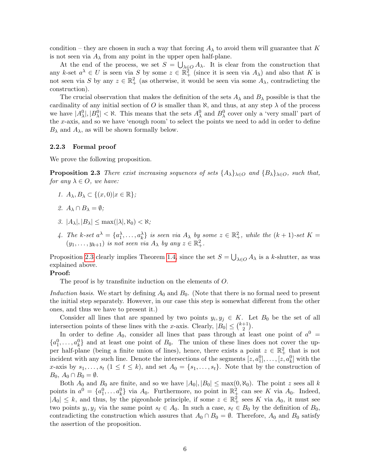condition – they are chosen in such a way that forcing  $A_\lambda$  to avoid them will guarantee that K is not seen via  $A_{\lambda}$  from any point in the upper open half-plane.

At the end of the process, we set  $S = \bigcup_{\lambda \in O} A_{\lambda}$ . It is clear from the construction that any k-set  $a^{\lambda} \in U$  is seen via S by some  $z \in \mathbb{R}^2_+$  (since it is seen via  $A_{\lambda}$ ) and also that K is not seen via S by any  $z \in \mathbb{R}^2_+$  (as otherwise, it would be seen via some  $A_\lambda$ , contradicting the construction).

The crucial observation that makes the definition of the sets  $A_{\lambda}$  and  $B_{\lambda}$  possible is that the cardinality of any initial section of O is smaller than  $\aleph$ , and thus, at any step  $\lambda$  of the process we have  $|A_\lambda^0|, |B_\lambda^0| < \aleph$ . This means that the sets  $A_\lambda^0$  and  $B_\lambda^0$  cover only a 'very small' part of the x-axis, and so we have 'enough room' to select the points we need to add in order to define  $B_{\lambda}$  and  $A_{\lambda}$ , as will be shown formally below.

#### 2.2.3 Formal proof

We prove the following proposition.

**Proposition 2.3** There exist increasing sequences of sets  $\{A_{\lambda}\}_{{\lambda}\in O}$  and  $\{B_{\lambda}\}_{{\lambda}\in O}$ , such that, for any  $\lambda \in O$ , we have:

- <span id="page-5-0"></span>1.  $A_{\lambda}, B_{\lambda} \subset \{(x, 0)|x \in \mathbb{R}\};$
- 2.  $A_{\lambda} \cap B_{\lambda} = \emptyset$ ;
- 3.  $|A_\lambda|, |B_\lambda| \leq \max(|\lambda|, \aleph_0) < \aleph;$
- 4. The k-set  $a^{\lambda} = \{a_1^{\lambda}, \ldots, a_k^{\lambda}\}\$  is seen via  $A_{\lambda}$  by some  $z \in \mathbb{R}^2_+$ , while the  $(k+1)$ -set  $K =$  $(y_1, \ldots, y_{k+1})$  is not seen via  $A_{\lambda}$  by any  $z \in \mathbb{R}_+^2$ .

Proposition [2.3](#page-5-0) clearly implies Theorem [1.4,](#page-1-1) since the set  $S = \bigcup_{\lambda \in O} A_{\lambda}$  is a k-shutter, as was explained above.

#### Proof:

The proof is by transfinite induction on the elements of O.

Induction basis. We start by defining  $A_0$  and  $B_0$ . (Note that there is no formal need to present the initial step separately. However, in our case this step is somewhat different from the other ones, and thus we have to present it.)

Consider all lines that are spanned by two points  $y_i, y_j \in K$ . Let  $B_0$  be the set of all intersection points of these lines with the x-axis. Clearly,  $|B_0| \leq {k+1 \choose 2}$  $_{2}^{+1}).$ 

In order to define  $A_0$ , consider all lines that pass through at least one point of  $a^0$  =  ${a_1^0, \ldots, a_k^0}$  and at least one point of  $B_0$ . The union of these lines does not cover the upper half-plane (being a finite union of lines), hence, there exists a point  $z \in \mathbb{R}^2_+$  that is not incident with any such line. Denote the intersections of the segments  $[z, a_1^0], \ldots, [z, a_k^0]$  with the x-axis by  $s_1, \ldots, s_t$   $(1 \le t \le k)$ , and set  $A_0 = \{s_1, \ldots, s_t\}$ . Note that by the construction of  $B_0$ ,  $A_0 \cap B_0 = \emptyset$ .

Both  $A_0$  and  $B_0$  are finite, and so we have  $|A_0|, |B_0| \le \max(0, \aleph_0)$ . The point z sees all k points in  $a^0 = \{a_1^0, \ldots a_k^0\}$  via  $A_0$ . Furthermore, no point in  $\mathbb{R}^2_+$  can see K via  $A_0$ . Indeed,  $|A_0| \leq k$ , and thus, by the pigeonhole principle, if some  $z \in \mathbb{R}^2_+$  sees K via  $A_0$ , it must see two points  $y_i, y_j$  via the same point  $s_\ell \in A_0$ . In such a case,  $s_\ell \in B_0$  by the definition of  $B_0$ , contradicting the construction which assures that  $A_0 \cap B_0 = \emptyset$ . Therefore,  $A_0$  and  $B_0$  satisfy the assertion of the proposition.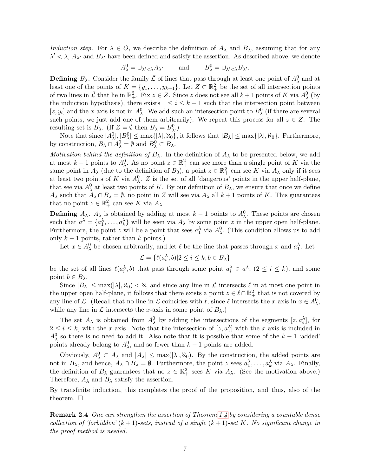Induction step. For  $\lambda \in O$ , we describe the definition of  $A_{\lambda}$  and  $B_{\lambda}$ , assuming that for any  $\lambda' < \lambda$ ,  $A_{\lambda'}$  and  $B_{\lambda'}$  have been defined and satisfy the assertion. As described above, we denote

$$
A_{\lambda}^{0} = \cup_{\lambda' < \lambda} A_{\lambda'}
$$
 and  $B_{\lambda}^{0} = \cup_{\lambda' < \lambda} B_{\lambda'}$ .

**Defining**  $B_\lambda$ . Consider the family  $\bar{\mathcal{L}}$  of lines that pass through at least one point of  $A_\lambda^0$  and at least one of the points of  $K = \{y_1, \ldots, y_{k+1}\}$ . Let  $Z \subset \mathbb{R}^2_+$  be the set of all intersection points of two lines in  $\bar{\mathcal{L}}$  that lie in  $\mathbb{R}^2_+$ . Fix  $z \in \mathbb{Z}$ . Since z does not see all  $k+1$  points of K via  $A^0_\lambda$  (by the induction hypothesis), there exists  $1 \leq i \leq k+1$  such that the intersection point between [z, y<sub>i</sub>] and the x-axis is not in  $A_{\lambda}^0$ . We add such an intersection point to  $B_{\lambda}^0$  (if there are several such points, we just add one of them arbitrarily). We repeat this process for all  $z \in Z$ . The resulting set is  $B_\lambda$ . (If  $Z = \emptyset$  then  $B_\lambda = B_\lambda^0$ .)

Note that since  $|A_{\lambda}^0|, |B_{\lambda}^0| \le \max\{|\lambda|, \aleph_0\},\$  it follows that  $|B_{\lambda}| \le \max\{|\lambda|, \aleph_0\}.$  Furthermore, by construction,  $B_{\lambda} \cap A_{\lambda}^0 = \emptyset$  and  $B_{\lambda}^0 \subset B_{\lambda}$ .

Motivation behind the definition of  $B_\lambda$ . In the definition of  $A_\lambda$  to be presented below, we add at most  $k-1$  points to  $A_{\lambda}^0$ . As no point  $z \in \mathbb{R}^2_+$  can see more than a single point of K via the same point in  $A_\lambda$  (due to the definition of  $B_0$ ), a point  $z \in \mathbb{R}^2_+$  can see K via  $A_\lambda$  only if it sees at least two points of K via  $A_{\lambda}^0$ . Z is the set of all 'dangerous' points in the upper half-plane, that see via  $A_{\lambda}^0$  at least two points of K. By our definition of  $B_{\lambda}$ , we ensure that once we define  $A_{\lambda}$  such that  $A_{\lambda} \cap B_{\lambda} = \emptyset$ , no point in Z will see via  $A_{\lambda}$  all  $k+1$  points of K. This guarantees that no point  $z \in \mathbb{R}^2_+$  can see K via  $A_\lambda$ .

**Defining**  $A_{\lambda}$ .  $A_{\lambda}$  is obtained by adding at most  $k-1$  points to  $A_{\lambda}^{0}$ . These points are chosen such that  $a^{\lambda} = \{a_1^{\lambda}, \ldots, a_k^{\lambda}\}\$  will be seen via  $A_{\lambda}$  by some point z in the upper open half-plane. Furthermore, the point z will be a point that sees  $a<sub>1</sub><sup>\lambda</sup>$  via  $A<sub>\lambda</sub><sup>0</sup>$ . (This condition allows us to add only  $k - 1$  points, rather than k points.)

Let  $x \in A_{\lambda}^0$  be chosen arbitrarily, and let  $\ell$  be the line that passes through x and  $a_1^{\lambda}$ . Let

$$
\mathcal{L} = \{ \ell(a_i^{\lambda}, b) | 2 \le i \le k, b \in B_{\lambda} \}
$$

be the set of all lines  $\ell(a_i^{\lambda},b)$  that pass through some point  $a_i^{\lambda} \in a^{\lambda}$ ,  $(2 \leq i \leq k)$ , and some point  $b \in B_{\lambda}$ .

Since  $|B_\lambda| \le \max(|\lambda|, \aleph_0) < \aleph$ , and since any line in  $\mathcal L$  intersects  $\ell$  in at most one point in the upper open half-plane, it follows that there exists a point  $z \in \ell \cap \mathbb{R}^2_+$  that is not covered by any line of L. (Recall that no line in L coincides with  $\ell$ , since  $\ell$  intersects the x-axis in  $x \in A_\lambda^0$ , while any line in  $\mathcal L$  intersects the x-axis in some point of  $B_\lambda$ .)

The set  $A_{\lambda}$  is obtained from  $A_{\lambda}^{0}$  by adding the intersections of the segments  $[z, a_i^{\lambda}],$  for  $2 \leq i \leq k$ , with the x-axis. Note that the intersection of  $[z, a_1^{\lambda}]$  with the x-axis is included in  $A_\lambda^0$  so there is no need to add it. Also note that it is possible that some of the  $k-1$  'added' points already belong to  $A_{\lambda}^0$ , and so fewer than  $k-1$  points are added.

Obviously,  $A^0_\lambda \subset A_\lambda$  and  $|A_\lambda| \leq \max(|\lambda|, \aleph_0)$ . By the construction, the added points are not in  $B_\lambda$ , and hence,  $A_\lambda \cap B_\lambda = \emptyset$ . Furthermore, the point z sees  $a_1^\lambda, \ldots, a_k^\lambda$  via  $A_\lambda$ . Finally, the definition of  $B_\lambda$  guarantees that no  $z \in \mathbb{R}^2_+$  sees K via  $A_\lambda$ . (See the motivation above.) Therefore,  $A_{\lambda}$  and  $B_{\lambda}$  satisfy the assertion.

By transfinite induction, this completes the proof of the proposition, and thus, also of the theorem.  $\Box$ 

Remark 2.4 One can strengthen the assertion of Theorem [1.4](#page-1-1) by considering a countable dense collection of 'forbidden'  $(k + 1)$ -sets, instead of a single  $(k + 1)$ -set K. No significant change in the proof method is needed.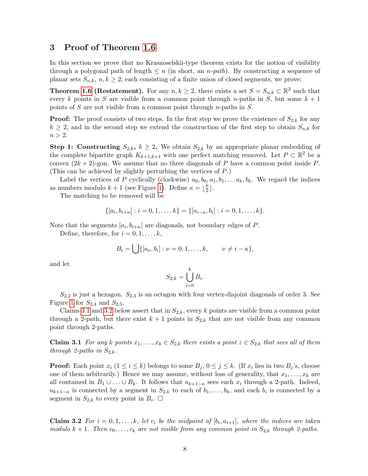## <span id="page-7-0"></span>3 Proof of Theorem [1.6](#page-1-0)

In this section we prove that no Krasnoselskii-type theorem exists for the notion of visibility through a polygonal path of length  $\leq n$  (in short, an *n-path*). By constructing a sequence of planar sets  $S_{n,k}$ ,  $n, k \geq 2$ , each consisting of a finite union of closed segments, we prove:

**Theorem [1.6](#page-1-0) (Restatement).** For any  $n, k \geq 2$ , there exists a set  $S = S_{n,k} \subset \mathbb{R}^2$  such that every k points in S are visible from a common point through n-paths in S, but some  $k + 1$ points of S are not visible from a common point through  $n$ -paths in S.

**Proof:** The proof consists of two steps. In the first step we prove the existence of  $S_{2,k}$  for any  $k \geq 2$ , and in the second step we extend the construction of the first step to obtain  $S_{n,k}$  for  $n > 2$ .

**Step 1: Constructing**  $S_{2,k}$ ,  $k \geq 2$ . We obtain  $S_{2,k}$  by an appropriate planar embedding of the complete bipartite graph  $K_{k+1,k+1}$  with one perfect matching removed. Let  $P \subset \mathbb{R}^2$  be a convex  $(2k+2)$ -gon. We assume that no three diagonals of P have a common point inside P. (This can be achieved by slightly perturbing the vertices of P.)

Label the vertices of P cyclically (clockwise)  $a_0, b_0, a_1, b_1, \ldots, a_k, b_k$ . We regard the indices as numbers modulo  $k+1$  (see Figure [1\)](#page-8-0). Define  $\kappa = \lfloor \frac{k}{2} \rfloor$  $\frac{k}{2}$ .

The matching to be removed will be

$$
\{[a_i, b_{i+\kappa}] : i = 0, 1, \ldots, k\} = \{[a_{i-\kappa}, b_i] : i = 0, 1, \ldots, k\}.
$$

Note that the segments  $[a_i, b_{i+\kappa}]$  are diagonals, not boundary edges of P.

Define, therefore, for  $i = 0, 1, \ldots, k$ ,

$$
B_i = \bigcup \{ [a_{\nu}, b_i] : \nu = 0, 1, \ldots, k, \qquad \nu \neq i - \kappa \},
$$

and let

$$
S_{2,k} = \bigcup_{i=0}^{k} B_i.
$$

 $S_{2,2}$  is just a hexagon.  $S_{2,3}$  is an octagon with four vertex-disjoint diagonals of order 3. See Figure [1](#page-8-0) for  $S_{2,4}$  and  $S_{2,5}$ .

Claims [3.1](#page-7-1) and [3.2](#page-7-2) below assert that in  $S_{2,k}$ , every k points are visible from a common point through a 2-path, but there exist  $k + 1$  points in  $S_{2,k}$  that are not visible from any common point through 2-paths.

<span id="page-7-1"></span>**Claim 3.1** For any k points  $x_1, \ldots, x_k \in S_{2,k}$  there exists a point  $z \in S_{2,k}$  that sees all of them through 2-paths in  $S_{2,k}$ .

**Proof:** Each point  $x_i$   $(1 \leq i \leq k)$  belongs to some  $B_j$ ,  $0 \leq j \leq k$ . (If  $x_i$  lies in two  $B_j$ 's, choose one of them arbitrarily.) Hence we may assume, without loss of generality, that  $x_1, \ldots, x_k$  are all contained in  $B_1 \cup \ldots \cup B_k$ . It follows that  $a_{k+1-\kappa}$  sees each  $x_i$  through a 2-path. Indeed,  $a_{k+1-\kappa}$  is connected by a segment in  $S_{2,k}$  to each of  $b_1,\ldots,b_k$ , and each  $b_i$  is connected by a segment in  $S_{2,k}$  to every point in  $B_i$ .  $\square$ 

<span id="page-7-2"></span>**Claim 3.2** For  $i = 0, 1, ..., k$ , let  $c_i$  be the midpoint of  $[b_i, a_{i+1}]$ , where the indices are taken modulo  $k + 1$ . Then  $c_0, \ldots, c_k$  are not visible from any common point in  $S_{2,k}$  through 2-paths.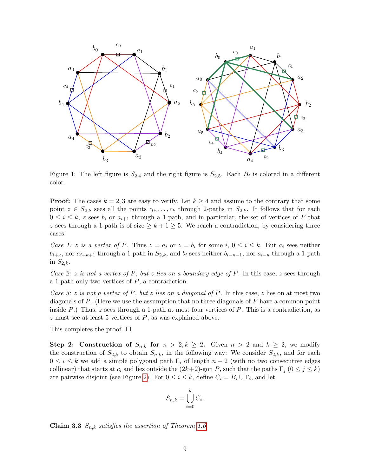

<span id="page-8-0"></span>Figure 1: The left figure is  $S_{2,4}$  and the right figure is  $S_{2,5}$ . Each  $B_i$  is colored in a different color.

**Proof:** The cases  $k = 2, 3$  are easy to verify. Let  $k \geq 4$  and assume to the contrary that some point  $z \in S_{2,k}$  sees all the points  $c_0, \ldots, c_k$  through 2-paths in  $S_{2,k}$ . It follows that for each  $0 \leq i \leq k$ , z sees  $b_i$  or  $a_{i+1}$  through a 1-path, and in particular, the set of vertices of P that z sees through a 1-path is of size  $\geq k+1\geq 5$ . We reach a contradiction, by considering three cases:

Case 1: z is a vertex of P. Thus  $z = a_i$  or  $z = b_i$  for some i,  $0 \le i \le k$ . But  $a_i$  sees neither  $b_{i+\kappa}$ , nor  $a_{i+\kappa+1}$  through a 1-path in  $S_{2,k}$ , and  $b_i$  sees neither  $b_{i-\kappa-1}$ , nor  $a_{i-\kappa}$  through a 1-path in  $S_{2,k}$ .

Case 2: z is not a vertex of P, but z lies on a boundary edge of P. In this case, z sees through a 1-path only two vertices of  $P$ , a contradiction.

Case 3: z is not a vertex of P, but z lies on a diagonal of P. In this case, z lies on at most two diagonals of P. (Here we use the assumption that no three diagonals of P have a common point inside P.) Thus,  $z$  sees through a 1-path at most four vertices of P. This is a contradiction, as  $z$  must see at least 5 vertices of  $P$ , as was explained above.

This completes the proof.  $\square$ 

Step 2: Construction of  $S_{n,k}$  for  $n > 2, k \ge 2$ . Given  $n > 2$  and  $k \ge 2$ , we modify the construction of  $S_{2,k}$  to obtain  $S_{n,k}$ , in the following way: We consider  $S_{2,k}$ , and for each  $0 \leq i \leq k$  we add a simple polygonal path  $\Gamma_i$  of length  $n-2$  (with no two consecutive edges collinear) that starts at  $c_i$  and lies outside the  $(2k+2)$ -gon P, such that the paths  $\Gamma_j$   $(0 \leq j \leq k)$ are pairwise disjoint (see Figure [2\)](#page-9-3). For  $0 \leq i \leq k$ , define  $C_i = B_i \cup \Gamma_i$ , and let

$$
S_{n,k} = \bigcup_{i=0}^{k} C_i.
$$

Claim 3.3  $S_{n,k}$  satisfies the assertion of Theorem [1.6.](#page-1-0)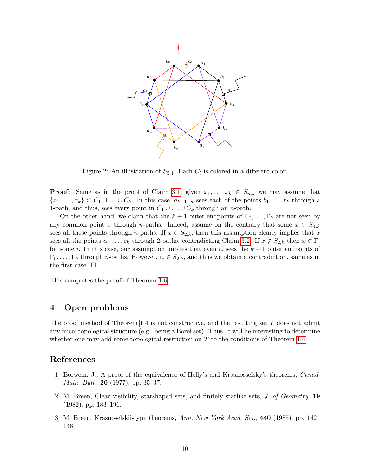

<span id="page-9-3"></span>Figure 2: An illustration of  $S_{5,4}$ . Each  $C_i$  is colored in a different color.

**Proof:** Same as in the proof of Claim [3.1,](#page-7-1) given  $x_1, \ldots, x_k \in S_{n,k}$  we may assume that  $\{x_1,\ldots,x_k\} \subset C_1 \cup \ldots \cup C_k$ . In this case,  $a_{k+1-\kappa}$  sees each of the points  $b_1,\ldots,b_k$  through a 1-path, and thus, sees every point in  $C_1 \cup \ldots \cup C_k$  through an *n*-path.

On the other hand, we claim that the  $k+1$  outer endpoints of  $\Gamma_0, \ldots, \Gamma_k$  are not seen by any common point x through n-paths. Indeed, assume on the contrary that some  $x \in S_{n,k}$ sees all these points through *n*-paths. If  $x \in S_{2,k}$ , then this assumption clearly implies that x sees all the points  $c_0, \ldots, c_k$  through 2-paths, contradicting Claim [3.2.](#page-7-2) If  $x \notin S_{2,k}$  then  $x \in \Gamma_i$ for some i. In this case, our assumption implies that even  $c_i$  sees the  $k + 1$  outer endpoints of  $\Gamma_0, \ldots, \Gamma_k$  through *n*-paths. However,  $c_i \in S_{2,k}$ , and thus we obtain a contradiction, same as in the first case.  $\Box$ 

This completes the proof of Theorem [1.6.](#page-1-0)  $\Box$ 

## 4 Open problems

The proof method of Theorem [1.4](#page-1-1) is not constructive, and the resulting set  $T$  does not admit any 'nice' topological structure (e.g., being a Borel set). Thus, it will be interesting to determine whether one may add some topological restriction on  $T$  to the conditions of Theorem [1.4.](#page-1-1)

## References

- <span id="page-9-0"></span>[1] Borwein, J., A proof of the equivalence of Helly's and Krasnosselsky's theorems, Canad. Math. Bull., **20** (1977), pp. 35–37.
- <span id="page-9-1"></span>[2] M. Breen, Clear visibility, starshaped sets, and finitely starlike sets, J. of Geometry, 19 (1982), pp. 183–196.
- <span id="page-9-2"></span>[3] M. Breen, Krasnoselskii-type theorems, Ann. New York Acad. Sci., 440 (1985), pp. 142– 146.